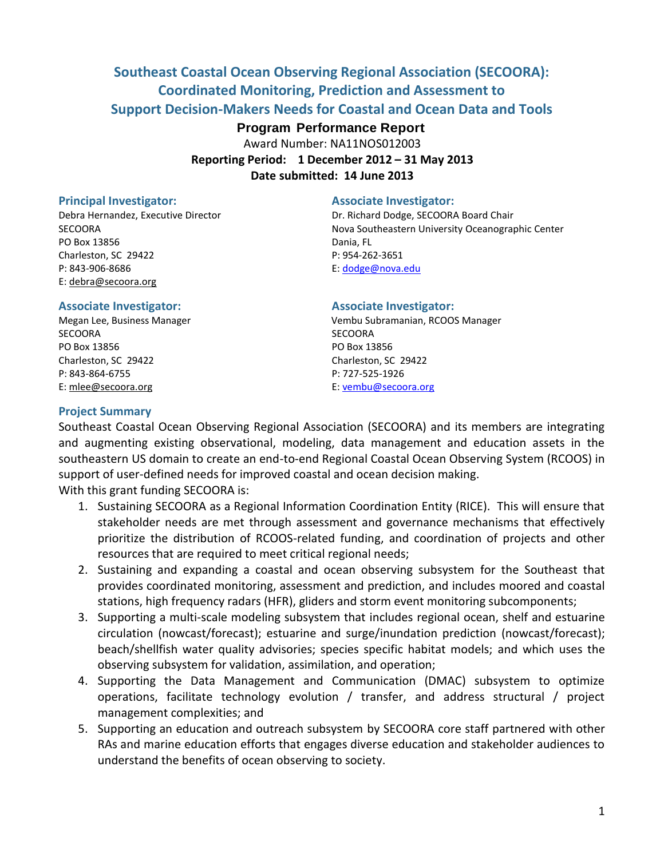# **Southeast Coastal Ocean Observing Regional Association (SECOORA): Coordinated Monitoring, Prediction and Assessment to Support Decision-Makers Needs for Coastal and Ocean Data and Tools**

# **Program Performance Report**

Award Number: NA11NOS012003 **Reporting Period: 1 December 2012 – 31 May 2013**

**Date submitted: 14 June 2013**

PO Box 13856 Dania, FL Charleston, SC 29422 P: 954-262-3651 P: 843-906-8686 E: [dodge@nova.edu](mailto:dodge@nova.edu) E: [debra@secoora.org](mailto:susannah@secoora.org)

## **Principal Investigator:** Associate Investigator:

Debra Hernandez, Executive Director Dr. Richard Dodge, SECOORA Board Chair SECOORA Nova Southeastern University Oceanographic Center

### **Associate Investigator: Associate Investigator:**

SECOORA SECOORA PO Box 13856 PO Box 13856 Charleston, SC 29422 Charleston, SC 29422 P: 843-864-6755 P: 727-525-1926 E[: mlee@secoora.org](mailto:mlee@secoora.org) E: [vembu@secoora.org](mailto:vembu@secoora.org)

Megan Lee, Business Manager Vembu Subramanian, RCOOS Manager

## **Project Summary**

Southeast Coastal Ocean Observing Regional Association (SECOORA) and its members are integrating and augmenting existing observational, modeling, data management and education assets in the southeastern US domain to create an end-to-end Regional Coastal Ocean Observing System (RCOOS) in support of user-defined needs for improved coastal and ocean decision making.

With this grant funding SECOORA is:

- 1. Sustaining SECOORA as a Regional Information Coordination Entity (RICE). This will ensure that stakeholder needs are met through assessment and governance mechanisms that effectively prioritize the distribution of RCOOS-related funding, and coordination of projects and other resources that are required to meet critical regional needs;
- 2. Sustaining and expanding a coastal and ocean observing subsystem for the Southeast that provides coordinated monitoring, assessment and prediction, and includes moored and coastal stations, high frequency radars (HFR), gliders and storm event monitoring subcomponents;
- 3. Supporting a multi-scale modeling subsystem that includes regional ocean, shelf and estuarine circulation (nowcast/forecast); estuarine and surge/inundation prediction (nowcast/forecast); beach/shellfish water quality advisories; species specific habitat models; and which uses the observing subsystem for validation, assimilation, and operation;
- 4. Supporting the Data Management and Communication (DMAC) subsystem to optimize operations, facilitate technology evolution / transfer, and address structural / project management complexities; and
- 5. Supporting an education and outreach subsystem by SECOORA core staff partnered with other RAs and marine education efforts that engages diverse education and stakeholder audiences to understand the benefits of ocean observing to society.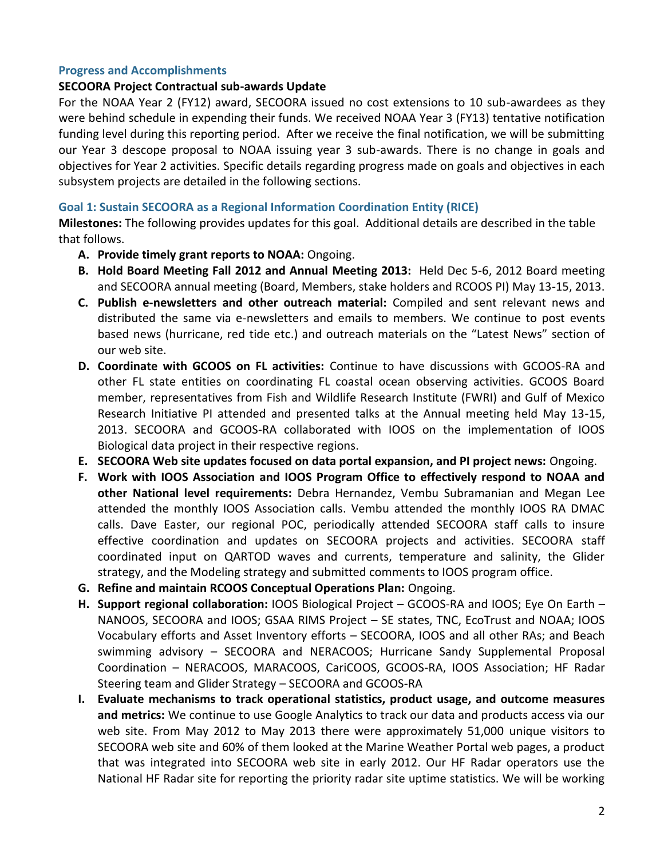## **Progress and Accomplishments**

## **SECOORA Project Contractual sub-awards Update**

For the NOAA Year 2 (FY12) award, SECOORA issued no cost extensions to 10 sub-awardees as they were behind schedule in expending their funds. We received NOAA Year 3 (FY13) tentative notification funding level during this reporting period. After we receive the final notification, we will be submitting our Year 3 descope proposal to NOAA issuing year 3 sub-awards. There is no change in goals and objectives for Year 2 activities. Specific details regarding progress made on goals and objectives in each subsystem projects are detailed in the following sections.

## **Goal 1: Sustain SECOORA as a Regional Information Coordination Entity (RICE)**

**Milestones:** The following provides updates for this goal. Additional details are described in the table that follows.

- **A. Provide timely grant reports to NOAA:** Ongoing.
- **B. Hold Board Meeting Fall 2012 and Annual Meeting 2013:** Held Dec 5-6, 2012 Board meeting and SECOORA annual meeting (Board, Members, stake holders and RCOOS PI) May 13-15, 2013.
- **C. Publish e-newsletters and other outreach material:** Compiled and sent relevant news and distributed the same via e-newsletters and emails to members. We continue to post events based news (hurricane, red tide etc.) and outreach materials on the "Latest News" section of our web site.
- **D. Coordinate with GCOOS on FL activities:** Continue to have discussions with GCOOS-RA and other FL state entities on coordinating FL coastal ocean observing activities. GCOOS Board member, representatives from Fish and Wildlife Research Institute (FWRI) and Gulf of Mexico Research Initiative PI attended and presented talks at the Annual meeting held May 13-15, 2013. SECOORA and GCOOS-RA collaborated with IOOS on the implementation of IOOS Biological data project in their respective regions.
- **E. SECOORA Web site updates focused on data portal expansion, and PI project news:** Ongoing.
- **F. Work with IOOS Association and IOOS Program Office to effectively respond to NOAA and other National level requirements:** Debra Hernandez, Vembu Subramanian and Megan Lee attended the monthly IOOS Association calls. Vembu attended the monthly IOOS RA DMAC calls. Dave Easter, our regional POC, periodically attended SECOORA staff calls to insure effective coordination and updates on SECOORA projects and activities. SECOORA staff coordinated input on QARTOD waves and currents, temperature and salinity, the Glider strategy, and the Modeling strategy and submitted comments to IOOS program office.
- **G. Refine and maintain RCOOS Conceptual Operations Plan:** Ongoing.
- **H. Support regional collaboration:** IOOS Biological Project GCOOS-RA and IOOS; Eye On Earth NANOOS, SECOORA and IOOS; GSAA RIMS Project – SE states, TNC, EcoTrust and NOAA; IOOS Vocabulary efforts and Asset Inventory efforts – SECOORA, IOOS and all other RAs; and Beach swimming advisory – SECOORA and NERACOOS; Hurricane Sandy Supplemental Proposal Coordination – NERACOOS, MARACOOS, CariCOOS, GCOOS-RA, IOOS Association; HF Radar Steering team and Glider Strategy – SECOORA and GCOOS-RA
- **I. Evaluate mechanisms to track operational statistics, product usage, and outcome measures and metrics:** We continue to use Google Analytics to track our data and products access via our web site. From May 2012 to May 2013 there were approximately 51,000 unique visitors to SECOORA web site and 60% of them looked at the Marine Weather Portal web pages, a product that was integrated into SECOORA web site in early 2012. Our HF Radar operators use the National HF Radar site for reporting the priority radar site uptime statistics. We will be working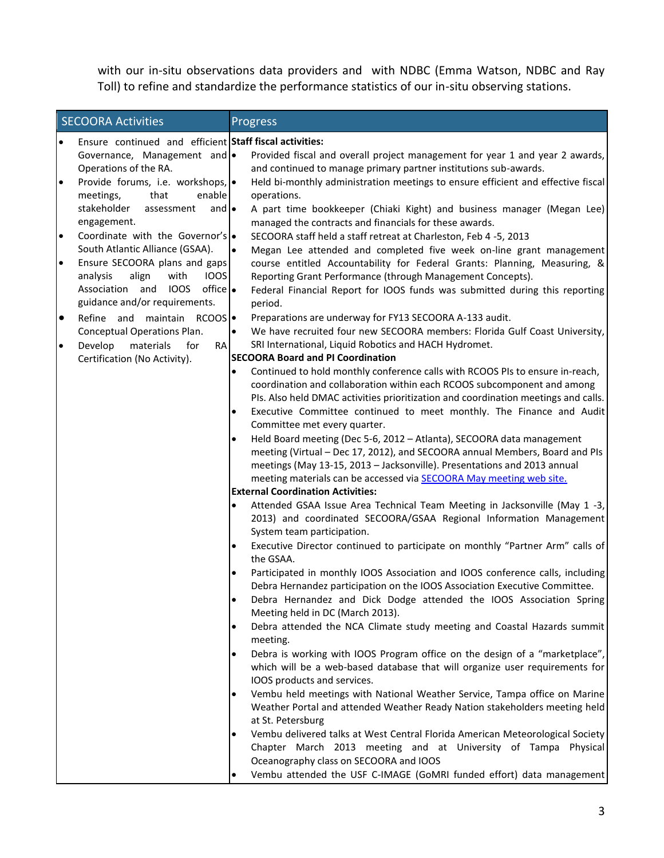with our in-situ observations data providers and with NDBC (Emma Watson, NDBC and Ray Toll) to refine and standardize the performance statistics of our in-situ observing stations.

| <b>SECOORA Activities</b> |                                                         |           | Progress                                                                                                                                                |  |  |  |
|---------------------------|---------------------------------------------------------|-----------|---------------------------------------------------------------------------------------------------------------------------------------------------------|--|--|--|
| $\bullet$                 | Ensure continued and efficient Staff fiscal activities: |           |                                                                                                                                                         |  |  |  |
|                           | Governance, Management and .                            |           | Provided fiscal and overall project management for year 1 and year 2 awards,                                                                            |  |  |  |
|                           | Operations of the RA.                                   |           | and continued to manage primary partner institutions sub-awards.                                                                                        |  |  |  |
| $\bullet$                 | Provide forums, i.e. workshops, .                       |           | Held bi-monthly administration meetings to ensure efficient and effective fiscal                                                                        |  |  |  |
|                           | enable<br>meetings,<br>that                             |           | operations.                                                                                                                                             |  |  |  |
|                           | stakeholder<br>and $\bullet$<br>assessment              |           | A part time bookkeeper (Chiaki Kight) and business manager (Megan Lee)                                                                                  |  |  |  |
| $\bullet$                 | engagement.<br>Coordinate with the Governor's .         |           | managed the contracts and financials for these awards.<br>SECOORA staff held a staff retreat at Charleston, Feb 4 -5, 2013                              |  |  |  |
|                           | South Atlantic Alliance (GSAA).                         | $\bullet$ | Megan Lee attended and completed five week on-line grant management                                                                                     |  |  |  |
| $\bullet$                 | Ensure SECOORA plans and gaps                           |           | course entitled Accountability for Federal Grants: Planning, Measuring, &                                                                               |  |  |  |
|                           | align<br>analysis<br>with<br><b>IOOS</b>                |           | Reporting Grant Performance (through Management Concepts).                                                                                              |  |  |  |
|                           | $of$ fice<br>Association and IOOS                       |           | Federal Financial Report for IOOS funds was submitted during this reporting                                                                             |  |  |  |
|                           | guidance and/or requirements.                           |           | period.                                                                                                                                                 |  |  |  |
| $\bullet$                 | Refine and maintain RCOOS                               |           | Preparations are underway for FY13 SECOORA A-133 audit.                                                                                                 |  |  |  |
|                           | Conceptual Operations Plan.                             | $\bullet$ | We have recruited four new SECOORA members: Florida Gulf Coast University,                                                                              |  |  |  |
| $\bullet$                 | Develop<br>materials<br>for<br><b>RA</b>                |           | SRI International, Liquid Robotics and HACH Hydromet.                                                                                                   |  |  |  |
|                           | Certification (No Activity).                            |           | <b>SECOORA Board and PI Coordination</b>                                                                                                                |  |  |  |
|                           |                                                         | ٠         | Continued to hold monthly conference calls with RCOOS PIs to ensure in-reach,                                                                           |  |  |  |
|                           |                                                         |           | coordination and collaboration within each RCOOS subcomponent and among                                                                                 |  |  |  |
|                           |                                                         |           | PIs. Also held DMAC activities prioritization and coordination meetings and calls.                                                                      |  |  |  |
|                           |                                                         | ٠         | Executive Committee continued to meet monthly. The Finance and Audit<br>Committee met every quarter.                                                    |  |  |  |
|                           |                                                         | $\bullet$ | Held Board meeting (Dec 5-6, 2012 - Atlanta), SECOORA data management                                                                                   |  |  |  |
|                           |                                                         |           | meeting (Virtual - Dec 17, 2012), and SECOORA annual Members, Board and PIs                                                                             |  |  |  |
|                           |                                                         |           | meetings (May 13-15, 2013 - Jacksonville). Presentations and 2013 annual                                                                                |  |  |  |
|                           |                                                         |           | meeting materials can be accessed via <b>SECOORA May meeting web site.</b>                                                                              |  |  |  |
|                           |                                                         |           | <b>External Coordination Activities:</b>                                                                                                                |  |  |  |
|                           |                                                         |           | Attended GSAA Issue Area Technical Team Meeting in Jacksonville (May 1 -3,                                                                              |  |  |  |
|                           |                                                         |           | 2013) and coordinated SECOORA/GSAA Regional Information Management                                                                                      |  |  |  |
|                           |                                                         |           | System team participation.                                                                                                                              |  |  |  |
|                           |                                                         |           | Executive Director continued to participate on monthly "Partner Arm" calls of<br>the GSAA.                                                              |  |  |  |
|                           |                                                         | $\bullet$ | Participated in monthly IOOS Association and IOOS conference calls, including                                                                           |  |  |  |
|                           |                                                         |           | Debra Hernandez participation on the IOOS Association Executive Committee.                                                                              |  |  |  |
|                           |                                                         |           | Debra Hernandez and Dick Dodge attended the IOOS Association Spring                                                                                     |  |  |  |
|                           |                                                         |           | Meeting held in DC (March 2013).                                                                                                                        |  |  |  |
|                           |                                                         | $\bullet$ | Debra attended the NCA Climate study meeting and Coastal Hazards summit<br>meeting.                                                                     |  |  |  |
|                           |                                                         |           | Debra is working with IOOS Program office on the design of a "marketplace",                                                                             |  |  |  |
|                           |                                                         |           | which will be a web-based database that will organize user requirements for                                                                             |  |  |  |
|                           |                                                         |           | IOOS products and services.                                                                                                                             |  |  |  |
|                           |                                                         |           | Vembu held meetings with National Weather Service, Tampa office on Marine<br>Weather Portal and attended Weather Ready Nation stakeholders meeting held |  |  |  |
|                           |                                                         |           | at St. Petersburg                                                                                                                                       |  |  |  |
|                           |                                                         |           | Vembu delivered talks at West Central Florida American Meteorological Society                                                                           |  |  |  |
|                           |                                                         |           | Chapter March 2013 meeting and at University of Tampa Physical                                                                                          |  |  |  |
|                           |                                                         |           | Oceanography class on SECOORA and IOOS                                                                                                                  |  |  |  |
|                           |                                                         |           | Vembu attended the USF C-IMAGE (GoMRI funded effort) data management                                                                                    |  |  |  |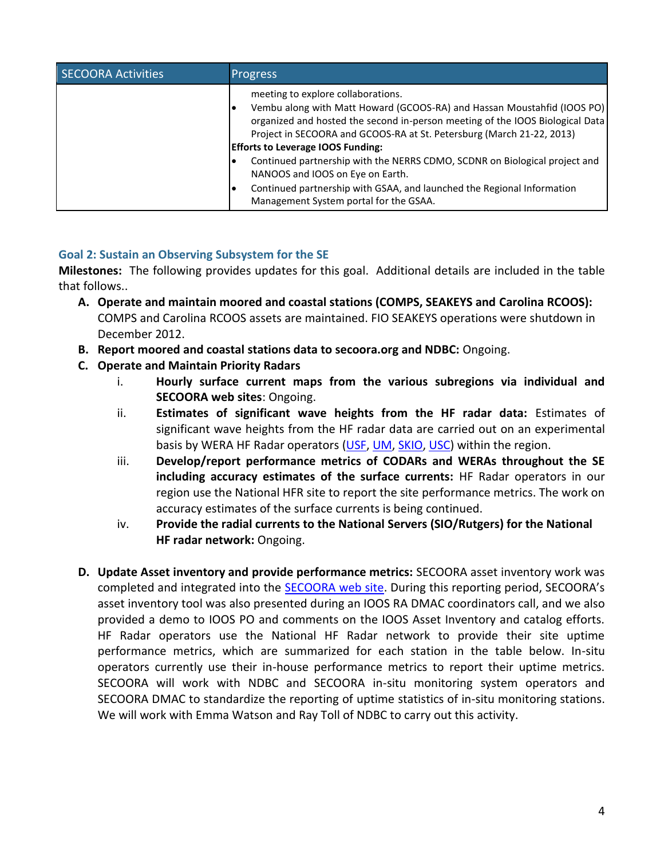| <b>SECOORA Activities</b> | <b>Progress</b>                                                                                                                                                                                                                                                                                                     |
|---------------------------|---------------------------------------------------------------------------------------------------------------------------------------------------------------------------------------------------------------------------------------------------------------------------------------------------------------------|
|                           | meeting to explore collaborations.<br>Vembu along with Matt Howard (GCOOS-RA) and Hassan Moustahfid (IOOS PO)<br>organized and hosted the second in-person meeting of the IOOS Biological Data<br>Project in SECOORA and GCOOS-RA at St. Petersburg (March 21-22, 2013)<br><b>Efforts to Leverage IOOS Funding:</b> |
|                           | Continued partnership with the NERRS CDMO, SCDNR on Biological project and<br>NANOOS and IOOS on Eye on Earth.                                                                                                                                                                                                      |
|                           | Continued partnership with GSAA, and launched the Regional Information<br>Management System portal for the GSAA.                                                                                                                                                                                                    |

# **Goal 2: Sustain an Observing Subsystem for the SE**

**Milestones:** The following provides updates for this goal. Additional details are included in the table that follows..

- **A. Operate and maintain moored and coastal stations (COMPS, SEAKEYS and Carolina RCOOS):** COMPS and Carolina RCOOS assets are maintained. FIO SEAKEYS operations were shutdown in December 2012.
- **B. Report moored and coastal stations data to secoora.org and NDBC:** Ongoing.
- **C. Operate and Maintain Priority Radars**
	- i. **Hourly surface current maps from the various subregions via individual and SECOORA web sites**: Ongoing.
	- ii. **Estimates of significant wave heights from the HF radar data:** Estimates of significant wave heights from the HF radar data are carried out on an experimental basis by WERA HF Radar operators [\(USF,](http://ocgweb.marine.usf.edu/hfradar/wera_wave_map.html) [UM,](http://iwave.rsmas.miami.edu/wera/info.php) [SKIO,](http://www.skio.usg.edu/?p=research/phy/sabsoon/wera/wera) [USC\)](http://www.geol.sc.edu/gvoulgar/WERA_link.html) within the region.
	- iii. **Develop/report performance metrics of CODARs and WERAs throughout the SE including accuracy estimates of the surface currents:** HF Radar operators in our region use the National HFR site to report the site performance metrics. The work on accuracy estimates of the surface currents is being continued.
	- iv. **Provide the radial currents to the National Servers (SIO/Rutgers) for the National HF radar network:** Ongoing.
- **D. Update Asset inventory and provide performance metrics:** SECOORA asset inventory work was completed and integrated into the [SECOORA](http://inventory.secoora.org/) web site. During this reporting period, SECOORA's asset inventory tool was also presented during an IOOS RA DMAC coordinators call, and we also provided a demo to IOOS PO and comments on the IOOS Asset Inventory and catalog efforts. HF Radar operators use the National HF Radar network to provide their site uptime performance metrics, which are summarized for each station in the table below. In-situ operators currently use their in-house performance metrics to report their uptime metrics. SECOORA will work with NDBC and SECOORA in-situ monitoring system operators and SECOORA DMAC to standardize the reporting of uptime statistics of in-situ monitoring stations. We will work with Emma Watson and Ray Toll of NDBC to carry out this activity.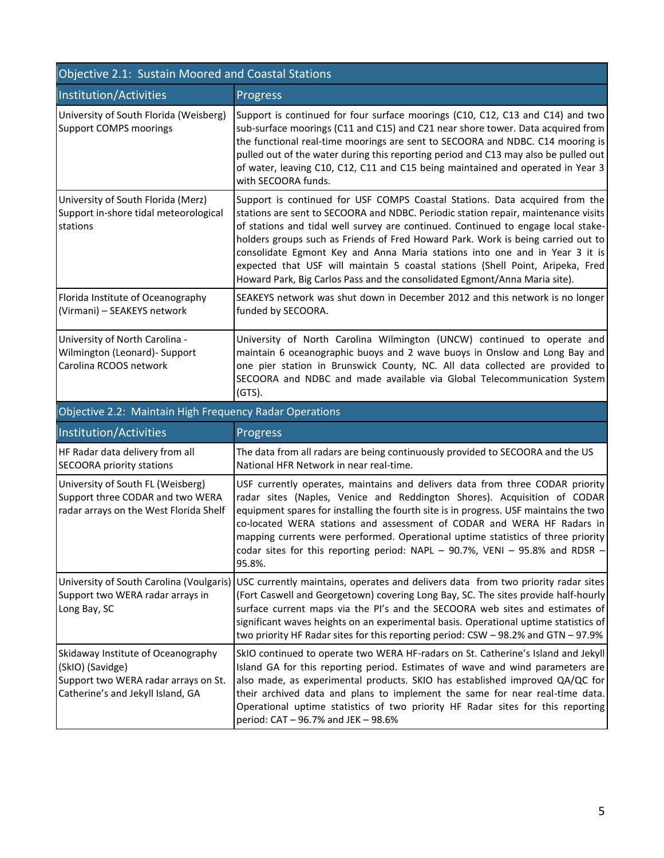| Objective 2.1: Sustain Moored and Coastal Stations                                                              |                                                                                                                                                                                                                                                                                                                                                                                                                                                                                                                                                                                           |  |  |  |  |  |
|-----------------------------------------------------------------------------------------------------------------|-------------------------------------------------------------------------------------------------------------------------------------------------------------------------------------------------------------------------------------------------------------------------------------------------------------------------------------------------------------------------------------------------------------------------------------------------------------------------------------------------------------------------------------------------------------------------------------------|--|--|--|--|--|
| Institution/Activities                                                                                          | Progress                                                                                                                                                                                                                                                                                                                                                                                                                                                                                                                                                                                  |  |  |  |  |  |
| University of South Florida (Weisberg)<br><b>Support COMPS moorings</b>                                         | Support is continued for four surface moorings (C10, C12, C13 and C14) and two<br>sub-surface moorings (C11 and C15) and C21 near shore tower. Data acquired from<br>the functional real-time moorings are sent to SECOORA and NDBC. C14 mooring is<br>pulled out of the water during this reporting period and C13 may also be pulled out<br>of water, leaving C10, C12, C11 and C15 being maintained and operated in Year 3<br>with SECOORA funds.                                                                                                                                      |  |  |  |  |  |
| University of South Florida (Merz)<br>Support in-shore tidal meteorological<br>stations                         | Support is continued for USF COMPS Coastal Stations. Data acquired from the<br>stations are sent to SECOORA and NDBC. Periodic station repair, maintenance visits<br>of stations and tidal well survey are continued. Continued to engage local stake-<br>holders groups such as Friends of Fred Howard Park. Work is being carried out to<br>consolidate Egmont Key and Anna Maria stations into one and in Year 3 it is<br>expected that USF will maintain 5 coastal stations (Shell Point, Aripeka, Fred<br>Howard Park, Big Carlos Pass and the consolidated Egmont/Anna Maria site). |  |  |  |  |  |
| Florida Institute of Oceanography<br>(Virmani) - SEAKEYS network                                                | SEAKEYS network was shut down in December 2012 and this network is no longer<br>funded by SECOORA.                                                                                                                                                                                                                                                                                                                                                                                                                                                                                        |  |  |  |  |  |
| University of North Carolina -<br>Wilmington (Leonard) - Support<br>Carolina RCOOS network                      | University of North Carolina Wilmington (UNCW) continued to operate and<br>maintain 6 oceanographic buoys and 2 wave buoys in Onslow and Long Bay and<br>one pier station in Brunswick County, NC. All data collected are provided to<br>SECOORA and NDBC and made available via Global Telecommunication System<br>(GTS).                                                                                                                                                                                                                                                                |  |  |  |  |  |
| Objective 2.2: Maintain High Frequency Radar Operations                                                         |                                                                                                                                                                                                                                                                                                                                                                                                                                                                                                                                                                                           |  |  |  |  |  |
| Institution/Activities                                                                                          | Progress                                                                                                                                                                                                                                                                                                                                                                                                                                                                                                                                                                                  |  |  |  |  |  |
| HF Radar data delivery from all<br><b>SECOORA priority stations</b>                                             | The data from all radars are being continuously provided to SECOORA and the US<br>National HFR Network in near real-time.                                                                                                                                                                                                                                                                                                                                                                                                                                                                 |  |  |  |  |  |
| University of South FL (Weisberg)<br>Support three CODAR and two WERA<br>radar arrays on the West Florida Shelf | USF currently operates, maintains and delivers data from three CODAR priority<br>radar sites (Naples, Venice and Reddington Shores). Acquisition of CODAR<br>equipment spares for installing the fourth site is in progress. USF maintains the two<br>co-located WERA stations and assessment of CODAR and WERA HF Radars in<br>mapping currents were performed. Operational uptime statistics of three priority<br>codar sites for this reporting period: NAPL - 90.7%, VENI - 95.8% and RDSR -<br>95.8%.                                                                                |  |  |  |  |  |
| University of South Carolina (Voulgaris)<br>Support two WERA radar arrays in<br>Long Bay, SC                    | USC currently maintains, operates and delivers data from two priority radar sites<br>(Fort Caswell and Georgetown) covering Long Bay, SC. The sites provide half-hourly<br>surface current maps via the PI's and the SECOORA web sites and estimates of<br>significant waves heights on an experimental basis. Operational uptime statistics of                                                                                                                                                                                                                                           |  |  |  |  |  |
|                                                                                                                 | two priority HF Radar sites for this reporting period: CSW - 98.2% and GTN - 97.9%                                                                                                                                                                                                                                                                                                                                                                                                                                                                                                        |  |  |  |  |  |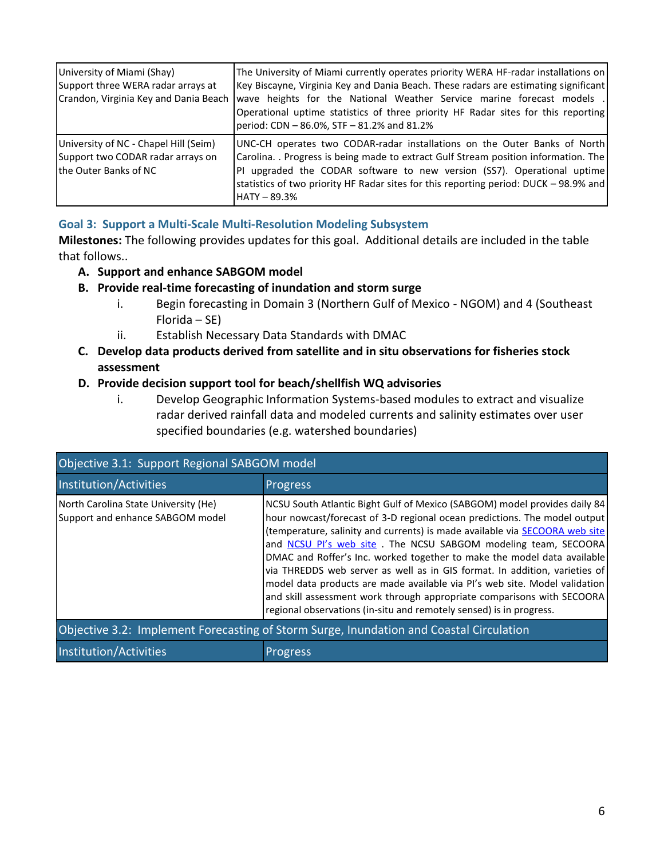| University of Miami (Shay)<br>Support three WERA radar arrays at<br>Crandon, Virginia Key and Dania Beach   | The University of Miami currently operates priority WERA HF-radar installations on<br>Key Biscayne, Virginia Key and Dania Beach. These radars are estimating significant<br>wave heights for the National Weather Service marine forecast models .<br>Operational uptime statistics of three priority HF Radar sites for this reporting<br>period: CDN - 86.0%, STF - 81.2% and 81.2% |  |  |
|-------------------------------------------------------------------------------------------------------------|----------------------------------------------------------------------------------------------------------------------------------------------------------------------------------------------------------------------------------------------------------------------------------------------------------------------------------------------------------------------------------------|--|--|
| University of NC - Chapel Hill (Seim)<br>Support two CODAR radar arrays on<br><b>Ithe Outer Banks of NC</b> | UNC-CH operates two CODAR-radar installations on the Outer Banks of North<br>Carolina. . Progress is being made to extract Gulf Stream position information. The<br>PI upgraded the CODAR software to new version (SS7). Operational uptime<br>statistics of two priority HF Radar sites for this reporting period: DUCK - 98.9% and<br>$HATY - 89.3%$                                 |  |  |

# **Goal 3: Support a Multi-Scale Multi-Resolution Modeling Subsystem**

**Milestones:** The following provides updates for this goal. Additional details are included in the table that follows..

# **A. Support and enhance SABGOM model**

# **B. Provide real-time forecasting of inundation and storm surge**

- i. Begin forecasting in Domain 3 (Northern Gulf of Mexico NGOM) and 4 (Southeast Florida – SE)
- ii. Establish Necessary Data Standards with DMAC
- **C. Develop data products derived from satellite and in situ observations for fisheries stock assessment**

# **D. Provide decision support tool for beach/shellfish WQ advisories**

i. Develop Geographic Information Systems-based modules to extract and visualize radar derived rainfall data and modeled currents and salinity estimates over user specified boundaries (e.g. watershed boundaries)

| Objective 3.1: Support Regional SABGOM model                                            |                                                                                                                                                                                                                                                                                                                                                                                                                                                                                                                                                                                                                                                                                                                    |  |  |  |  |
|-----------------------------------------------------------------------------------------|--------------------------------------------------------------------------------------------------------------------------------------------------------------------------------------------------------------------------------------------------------------------------------------------------------------------------------------------------------------------------------------------------------------------------------------------------------------------------------------------------------------------------------------------------------------------------------------------------------------------------------------------------------------------------------------------------------------------|--|--|--|--|
| Institution/Activities                                                                  | <b>Progress</b><br>NCSU South Atlantic Bight Gulf of Mexico (SABGOM) model provides daily 84<br>hour nowcast/forecast of 3-D regional ocean predictions. The model output<br>(temperature, salinity and currents) is made available via SECOORA web site<br>and NCSU PI's web site. The NCSU SABGOM modeling team, SECOORA<br>DMAC and Roffer's Inc. worked together to make the model data available<br>via THREDDS web server as well as in GIS format. In addition, varieties of<br>model data products are made available via PI's web site. Model validation<br>and skill assessment work through appropriate comparisons with SECOORA<br>regional observations (in-situ and remotely sensed) is in progress. |  |  |  |  |
| North Carolina State University (He)<br>Support and enhance SABGOM model                |                                                                                                                                                                                                                                                                                                                                                                                                                                                                                                                                                                                                                                                                                                                    |  |  |  |  |
| Objective 3.2: Implement Forecasting of Storm Surge, Inundation and Coastal Circulation |                                                                                                                                                                                                                                                                                                                                                                                                                                                                                                                                                                                                                                                                                                                    |  |  |  |  |
| Institution/Activities                                                                  | <b>Progress</b>                                                                                                                                                                                                                                                                                                                                                                                                                                                                                                                                                                                                                                                                                                    |  |  |  |  |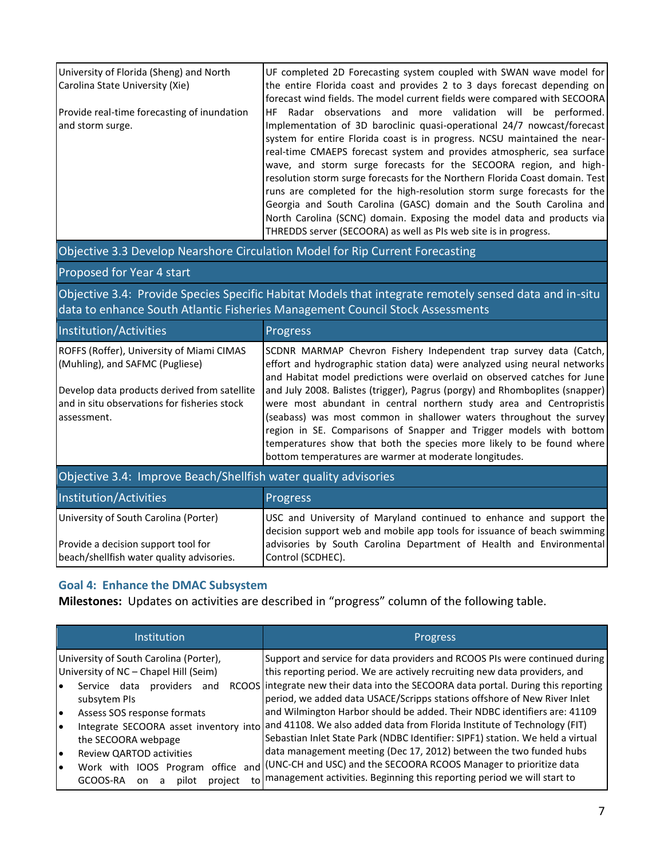| University of Florida (Sheng) and North<br>Carolina State University (Xie) | UF completed 2D Forecasting system coupled with SWAN wave model for<br>the entire Florida coast and provides 2 to 3 days forecast depending on<br>forecast wind fields. The model current fields were compared with SECOORA                                                                                                                                                                                                                                                                                                                                                                                                                                                                                                                              |
|----------------------------------------------------------------------------|----------------------------------------------------------------------------------------------------------------------------------------------------------------------------------------------------------------------------------------------------------------------------------------------------------------------------------------------------------------------------------------------------------------------------------------------------------------------------------------------------------------------------------------------------------------------------------------------------------------------------------------------------------------------------------------------------------------------------------------------------------|
| Provide real-time forecasting of inundation<br>and storm surge.            | Radar observations and more validation will be performed.<br>HF.<br>Implementation of 3D baroclinic quasi-operational 24/7 nowcast/forecast<br>system for entire Florida coast is in progress. NCSU maintained the near-<br>real-time CMAEPS forecast system and provides atmospheric, sea surface<br>wave, and storm surge forecasts for the SECOORA region, and high-<br>resolution storm surge forecasts for the Northern Florida Coast domain. Test<br>runs are completed for the high-resolution storm surge forecasts for the<br>Georgia and South Carolina (GASC) domain and the South Carolina and<br>North Carolina (SCNC) domain. Exposing the model data and products via<br>THREDDS server (SECOORA) as well as PIs web site is in progress. |

# Objective 3.3 Develop Nearshore Circulation Model for Rip Current Forecasting

## Proposed for Year 4 start

Objective 3.4: Provide Species Specific Habitat Models that integrate remotely sensed data and in-situ data to enhance South Atlantic Fisheries Management Council Stock Assessments

| Institution/Activities                                                                                       | <b>Progress</b>                                                                                                                                                                                                                                                                                                                                                                                                                      |  |  |  |
|--------------------------------------------------------------------------------------------------------------|--------------------------------------------------------------------------------------------------------------------------------------------------------------------------------------------------------------------------------------------------------------------------------------------------------------------------------------------------------------------------------------------------------------------------------------|--|--|--|
| ROFFS (Roffer), University of Miami CIMAS<br>(Muhling), and SAFMC (Pugliese)                                 | SCDNR MARMAP Chevron Fishery Independent trap survey data (Catch,<br>effort and hydrographic station data) were analyzed using neural networks<br>and Habitat model predictions were overlaid on observed catches for June                                                                                                                                                                                                           |  |  |  |
| Develop data products derived from satellite<br>land in situ observations for fisheries stock<br>assessment. | and July 2008. Balistes (trigger), Pagrus (porgy) and Rhomboplites (snapper)<br>were most abundant in central northern study area and Centropristis<br>(seabass) was most common in shallower waters throughout the survey<br>region in SE. Comparisons of Snapper and Trigger models with bottom<br>temperatures show that both the species more likely to be found where<br>bottom temperatures are warmer at moderate longitudes. |  |  |  |
| Objective 3.4: Improve Beach/Shellfish water quality advisories                                              |                                                                                                                                                                                                                                                                                                                                                                                                                                      |  |  |  |

| Objective 3.4: Improve Beach/Shellfish water quality advisories                  |                                                                                                                                                 |  |  |  |  |
|----------------------------------------------------------------------------------|-------------------------------------------------------------------------------------------------------------------------------------------------|--|--|--|--|
| Institution/Activities                                                           | <b>Progress</b>                                                                                                                                 |  |  |  |  |
| University of South Carolina (Porter)                                            | USC and University of Maryland continued to enhance and support the<br>decision support web and mobile app tools for issuance of beach swimming |  |  |  |  |
| Provide a decision support tool for<br>beach/shellfish water quality advisories. | advisories by South Carolina Department of Health and Environmental<br>Control (SCDHEC).                                                        |  |  |  |  |

# **Goal 4: Enhance the DMAC Subsystem**

**Milestones:** Updates on activities are described in "progress" column of the following table.

| <b>Institution</b>                                                                             | <b>Progress</b>                                                                                                                                                                                                                    |  |  |  |
|------------------------------------------------------------------------------------------------|------------------------------------------------------------------------------------------------------------------------------------------------------------------------------------------------------------------------------------|--|--|--|
| University of South Carolina (Porter),<br>University of NC - Chapel Hill (Seim)                | Support and service for data providers and RCOOS PIs were continued during<br>this reporting period. We are actively recruiting new data providers, and                                                                            |  |  |  |
| Service data<br>providers<br>and<br>subsytem PIs                                               | RCOOS integrate new their data into the SECOORA data portal. During this reporting<br>period, we added data USACE/Scripps stations offshore of New River Inlet                                                                     |  |  |  |
| Assess SOS response formats<br>le<br>Integrate SECOORA asset inventory into<br>$\bullet$       | and Wilmington Harbor should be added. Their NDBC identifiers are: 41109<br>and 41108. We also added data from Florida Institute of Technology (FIT)                                                                               |  |  |  |
| the SECOORA webpage                                                                            | Sebastian Inlet State Park (NDBC Identifier: SIPF1) station. We held a virtual                                                                                                                                                     |  |  |  |
| Review QARTOD activities<br>Work with IOOS Program<br>GCOOS-RA<br>project<br>pilot<br>on.<br>a | data management meeting (Dec 17, 2012) between the two funded hubs<br>office and (UNC-CH and USC) and the SECOORA RCOOS Manager to prioritize data<br>to   management activities. Beginning this reporting period we will start to |  |  |  |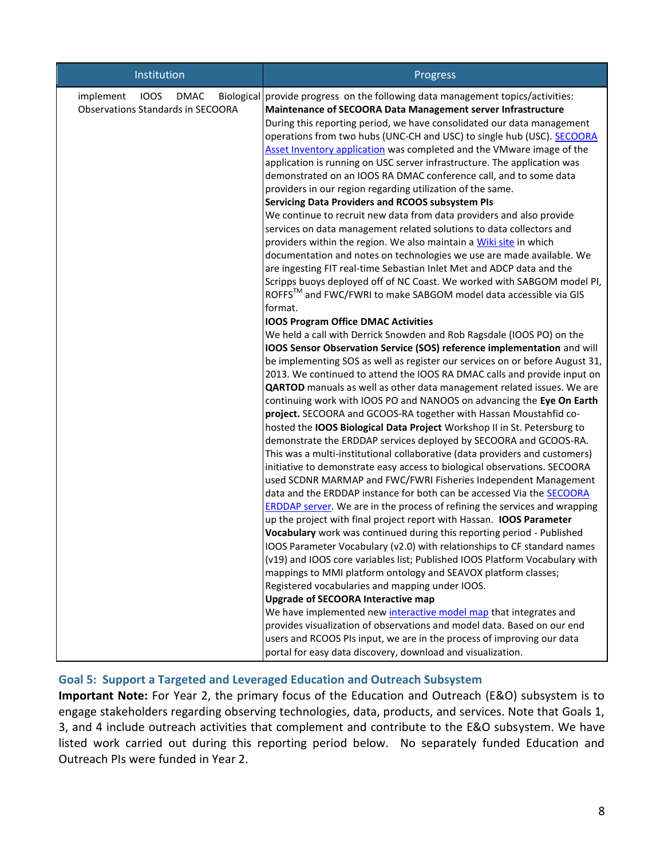| Institution                                                                         | Progress                                                                                                                                                                                                                                                                                                                                                                                                                                                                                                                                                                                                                                                                                                                                                                                                                                                                                                                                                                                                                                                                                                                                                                                                                                                                                                                                                                                                                                                                                                                                                                                                                                                                                                                                                                                                                                                                                                                                                                                                                                                                                                                                                                                                                                                                                                                                                                                                                                                                                                                                                                                                                           |  |  |  |
|-------------------------------------------------------------------------------------|------------------------------------------------------------------------------------------------------------------------------------------------------------------------------------------------------------------------------------------------------------------------------------------------------------------------------------------------------------------------------------------------------------------------------------------------------------------------------------------------------------------------------------------------------------------------------------------------------------------------------------------------------------------------------------------------------------------------------------------------------------------------------------------------------------------------------------------------------------------------------------------------------------------------------------------------------------------------------------------------------------------------------------------------------------------------------------------------------------------------------------------------------------------------------------------------------------------------------------------------------------------------------------------------------------------------------------------------------------------------------------------------------------------------------------------------------------------------------------------------------------------------------------------------------------------------------------------------------------------------------------------------------------------------------------------------------------------------------------------------------------------------------------------------------------------------------------------------------------------------------------------------------------------------------------------------------------------------------------------------------------------------------------------------------------------------------------------------------------------------------------------------------------------------------------------------------------------------------------------------------------------------------------------------------------------------------------------------------------------------------------------------------------------------------------------------------------------------------------------------------------------------------------------------------------------------------------------------------------------------------------|--|--|--|
| implement<br><b>IOOS</b><br><b>DMAC</b><br><b>Observations Standards in SECOORA</b> | Biological provide progress on the following data management topics/activities:<br>Maintenance of SECOORA Data Management server Infrastructure<br>During this reporting period, we have consolidated our data management<br>operations from two hubs (UNC-CH and USC) to single hub (USC). SECOORA<br>Asset Inventory application was completed and the VMware image of the<br>application is running on USC server infrastructure. The application was<br>demonstrated on an IOOS RA DMAC conference call, and to some data<br>providers in our region regarding utilization of the same.<br>Servicing Data Providers and RCOOS subsystem PIs<br>We continue to recruit new data from data providers and also provide<br>services on data management related solutions to data collectors and<br>providers within the region. We also maintain a Wiki site in which<br>documentation and notes on technologies we use are made available. We<br>are ingesting FIT real-time Sebastian Inlet Met and ADCP data and the<br>Scripps buoys deployed off of NC Coast. We worked with SABGOM model PI,<br>ROFFS™ and FWC/FWRI to make SABGOM model data accessible via GIS<br>format.<br><b>IOOS Program Office DMAC Activities</b><br>We held a call with Derrick Snowden and Rob Ragsdale (IOOS PO) on the<br>IOOS Sensor Observation Service (SOS) reference implementation and will<br>be implementing SOS as well as register our services on or before August 31,<br>2013. We continued to attend the IOOS RA DMAC calls and provide input on<br>QARTOD manuals as well as other data management related issues. We are<br>continuing work with IOOS PO and NANOOS on advancing the Eye On Earth<br>project. SECOORA and GCOOS-RA together with Hassan Moustahfid co-<br>hosted the IOOS Biological Data Project Workshop II in St. Petersburg to<br>demonstrate the ERDDAP services deployed by SECOORA and GCOOS-RA.<br>This was a multi-institutional collaborative (data providers and customers)<br>initiative to demonstrate easy access to biological observations. SECOORA<br>used SCDNR MARMAP and FWC/FWRI Fisheries Independent Management<br>data and the ERDDAP instance for both can be accessed Via the SECOORA<br><b>ERDDAP server.</b> We are in the process of refining the services and wrapping<br>up the project with final project report with Hassan. IOOS Parameter<br>Vocabulary work was continued during this reporting period - Published<br>IOOS Parameter Vocabulary (v2.0) with relationships to CF standard names<br>(v19) and IOOS core variables list; Published IOOS Platform Vocabulary with |  |  |  |
|                                                                                     | mappings to MMI platform ontology and SEAVOX platform classes;<br>Registered vocabularies and mapping under IOOS.                                                                                                                                                                                                                                                                                                                                                                                                                                                                                                                                                                                                                                                                                                                                                                                                                                                                                                                                                                                                                                                                                                                                                                                                                                                                                                                                                                                                                                                                                                                                                                                                                                                                                                                                                                                                                                                                                                                                                                                                                                                                                                                                                                                                                                                                                                                                                                                                                                                                                                                  |  |  |  |
|                                                                                     | <b>Upgrade of SECOORA Interactive map</b><br>We have implemented new interactive model map that integrates and<br>provides visualization of observations and model data. Based on our end<br>users and RCOOS PIs input, we are in the process of improving our data                                                                                                                                                                                                                                                                                                                                                                                                                                                                                                                                                                                                                                                                                                                                                                                                                                                                                                                                                                                                                                                                                                                                                                                                                                                                                                                                                                                                                                                                                                                                                                                                                                                                                                                                                                                                                                                                                                                                                                                                                                                                                                                                                                                                                                                                                                                                                                |  |  |  |
|                                                                                     | portal for easy data discovery, download and visualization.                                                                                                                                                                                                                                                                                                                                                                                                                                                                                                                                                                                                                                                                                                                                                                                                                                                                                                                                                                                                                                                                                                                                                                                                                                                                                                                                                                                                                                                                                                                                                                                                                                                                                                                                                                                                                                                                                                                                                                                                                                                                                                                                                                                                                                                                                                                                                                                                                                                                                                                                                                        |  |  |  |

# **Goal 5: Support a Targeted and Leveraged Education and Outreach Subsystem**

**Important Note:** For Year 2, the primary focus of the Education and Outreach (E&O) subsystem is to engage stakeholders regarding observing technologies, data, products, and services. Note that Goals 1, 3, and 4 include outreach activities that complement and contribute to the E&O subsystem. We have listed work carried out during this reporting period below. No separately funded Education and Outreach PIs were funded in Year 2.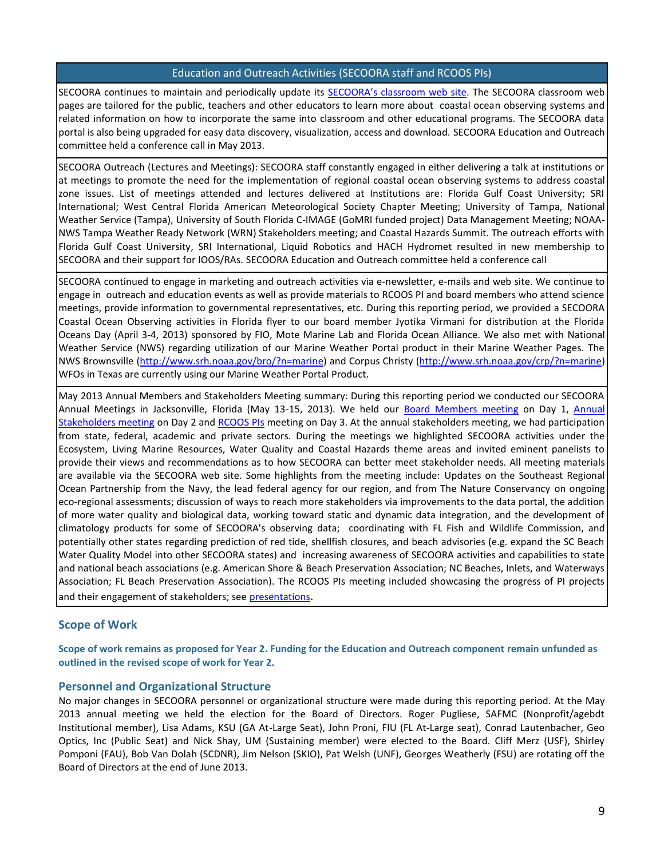### Education and Outreach Activities (SECOORA staff and RCOOS PIs)

SECOORA continues to maintain and periodically update its [SECOORA's classroom web site](http://secoora.org/classroom). The SECOORA classroom web pages are tailored for the public, teachers and other educators to learn more about coastal ocean observing systems and related information on how to incorporate the same into classroom and other educational programs. The SECOORA data portal is also being upgraded for easy data discovery, visualization, access and download. SECOORA Education and Outreach committee held a conference call in May 2013.

SECOORA Outreach (Lectures and Meetings): SECOORA staff constantly engaged in either delivering a talk at institutions or at meetings to promote the need for the implementation of regional coastal ocean observing systems to address coastal zone issues. List of meetings attended and lectures delivered at Institutions are: Florida Gulf Coast University; SRI International; West Central Florida American Meteorological Society Chapter Meeting; University of Tampa, National Weather Service (Tampa), University of South Florida C-IMAGE (GoMRI funded project) Data Management Meeting; NOAA-NWS Tampa Weather Ready Network (WRN) Stakeholders meeting; and Coastal Hazards Summit. The outreach efforts with Florida Gulf Coast University, SRI International, Liquid Robotics and HACH Hydromet resulted in new membership to SECOORA and their support for IOOS/RAs. SECOORA Education and Outreach committee held a conference call

SECOORA continued to engage in marketing and outreach activities via e-newsletter, e-mails and web site. We continue to engage in outreach and education events as well as provide materials to RCOOS PI and board members who attend science meetings, provide information to governmental representatives, etc. During this reporting period, we provided a SECOORA Coastal Ocean Observing activities in Florida flyer to our board member Jyotika Virmani for distribution at the Florida Oceans Day (April 3-4, 2013) sponsored by FIO, Mote Marine Lab and Florida Ocean Alliance. We also met with National Weather Service (NWS) regarding utilization of our Marine Weather Portal product in their Marine Weather Pages. The NWS Brownsville [\(http://www.srh.noaa.gov/bro/?n=marine\)](http://www.srh.noaa.gov/bro/?n=marine) and Corpus Christy [\(http://www.srh.noaa.gov/crp/?n=marine\)](http://www.srh.noaa.gov/crp/?n=marine) WFOs in Texas are currently using our Marine Weather Portal Product.

May 2013 Annual Members and Stakeholders Meeting summary: During this reporting period we conducted our SECOORA Annual Meetings in Jacksonville, Florida (May 13-15, 2013). We held our [Board Members meeting](http://secoora.org/sites/default/files/webfm/news/documents/may2013mtgmaterials/BoardMembersMay2013.pdf) on Day 1, [Annual](http://secoora.org/sites/default/files/webfm/news/documents/may2013mtgmaterials/Annualmeeting2013_agenda_new.pdf)  [Stakeholders meeting](http://secoora.org/sites/default/files/webfm/news/documents/may2013mtgmaterials/Annualmeeting2013_agenda_new.pdf) on Day 2 and [RCOOS PIs](http://secoora.org/sites/default/files/webfm/news/documents/may2013mtgmaterials/RCOOS2013_PIagenda_new.pdf) meeting on Day 3. At the annual stakeholders meeting, we had participation from state, federal, academic and private sectors. During the meetings we highlighted SECOORA activities under the Ecosystem, Living Marine Resources, Water Quality and Coastal Hazards theme areas and invited eminent panelists to provide their views and recommendations as to how SECOORA can better meet stakeholder needs. All meeting materials are available via the SECOORA web site. Some highlights from the meeting include: Updates on the Southeast Regional Ocean Partnership from the Navy, the lead federal agency for our region, and from The Nature Conservancy on ongoing eco-regional assessments; discussion of ways to reach more stakeholders via improvements to the data portal, the addition of more water quality and biological data, working toward static and dynamic data integration, and the development of climatology products for some of SECOORA's observing data; coordinating with FL Fish and Wildlife Commission, and potentially other states regarding prediction of red tide, shellfish closures, and beach advisories (e.g. expand the SC Beach Water Quality Model into other SECOORA states) and increasing awareness of SECOORA activities and capabilities to state and national beach associations (e.g. American Shore & Beach Preservation Association; NC Beaches, Inlets, and Waterways Association; FL Beach Preservation Association). The RCOOS PIs meeting included showcasing the progress of PI projects and their engagement of stakeholders; see [presentations](http://secoora.org/sites/default/files/webfm/news/documents/may2013mtgmaterials/RCOOS2013_PIagenda_new.pdf).

## **Scope of Work**

**Scope of work remains as proposed for Year 2. Funding for the Education and Outreach component remain unfunded as outlined in the revised scope of work for Year 2.** 

#### **Personnel and Organizational Structure**

No major changes in SECOORA personnel or organizational structure were made during this reporting period. At the May 2013 annual meeting we held the election for the Board of Directors. Roger Pugliese, SAFMC (Nonprofit/agebdt Institutional member), Lisa Adams, KSU (GA At-Large Seat), John Proni, FIU (FL At-Large seat), Conrad Lautenbacher, Geo Optics, Inc (Public Seat) and Nick Shay, UM (Sustaining member) were elected to the Board. Cliff Merz (USF), Shirley Pomponi (FAU), Bob Van Dolah (SCDNR), Jim Nelson (SKIO), Pat Welsh (UNF), Georges Weatherly (FSU) are rotating off the Board of Directors at the end of June 2013.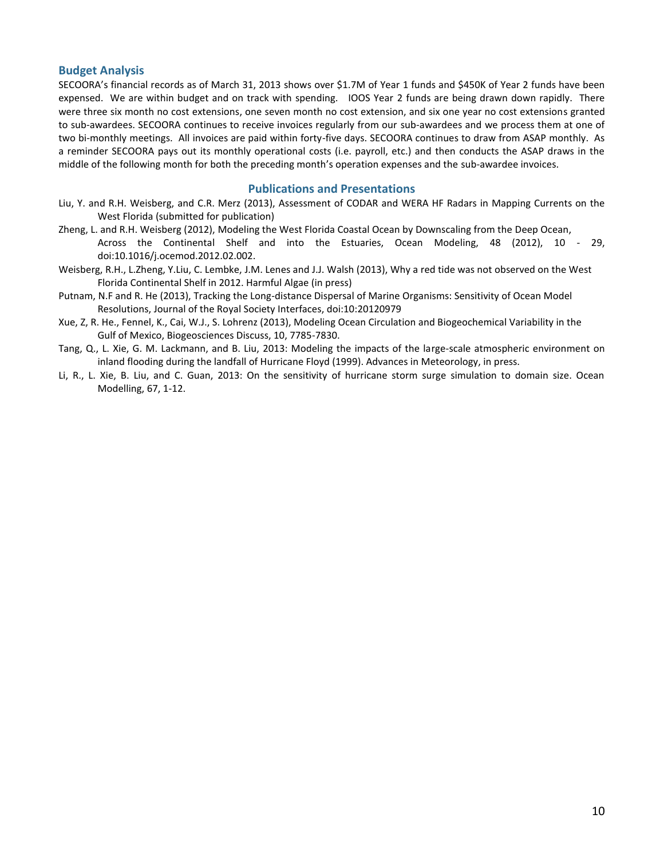#### **Budget Analysis**

SECOORA's financial records as of March 31, 2013 shows over \$1.7M of Year 1 funds and \$450K of Year 2 funds have been expensed. We are within budget and on track with spending. IOOS Year 2 funds are being drawn down rapidly. There were three six month no cost extensions, one seven month no cost extension, and six one year no cost extensions granted to sub-awardees. SECOORA continues to receive invoices regularly from our sub-awardees and we process them at one of two bi-monthly meetings. All invoices are paid within forty-five days. SECOORA continues to draw from ASAP monthly. As a reminder SECOORA pays out its monthly operational costs (i.e. payroll, etc.) and then conducts the ASAP draws in the middle of the following month for both the preceding month's operation expenses and the sub-awardee invoices.

## **Publications and Presentations**

- Liu, Y. and R.H. Weisberg, and C.R. Merz (2013), Assessment of CODAR and WERA HF Radars in Mapping Currents on the West Florida (submitted for publication)
- Zheng, L. and R.H. Weisberg (2012), Modeling the West Florida Coastal Ocean by Downscaling from the Deep Ocean, Across the Continental Shelf and into the Estuaries, Ocean Modeling, 48 (2012), 10 - 29, doi:10.1016/j.ocemod.2012.02.002.
- Weisberg, R.H., L.Zheng, Y.Liu, C. Lembke, J.M. Lenes and J.J. Walsh (2013), Why a red tide was not observed on the West Florida Continental Shelf in 2012. Harmful Algae (in press)
- Putnam, N.F and R. He (2013), Tracking the Long-distance Dispersal of Marine Organisms: Sensitivity of Ocean Model Resolutions, Journal of the Royal Society Interfaces, doi:10:20120979
- Xue, Z, R. He., Fennel, K., Cai, W.J., S. Lohrenz (2013), Modeling Ocean Circulation and Biogeochemical Variability in the Gulf of Mexico, Biogeosciences Discuss, 10, 7785-7830.
- Tang, Q., L. Xie, G. M. Lackmann, and B. Liu, 2013: Modeling the impacts of the large-scale atmospheric environment on inland flooding during the landfall of Hurricane Floyd (1999). Advances in Meteorology, in press.
- Li, R., L. Xie, B. Liu, and C. Guan, 2013: On the sensitivity of hurricane storm surge simulation to domain size. Ocean Modelling, 67, 1-12.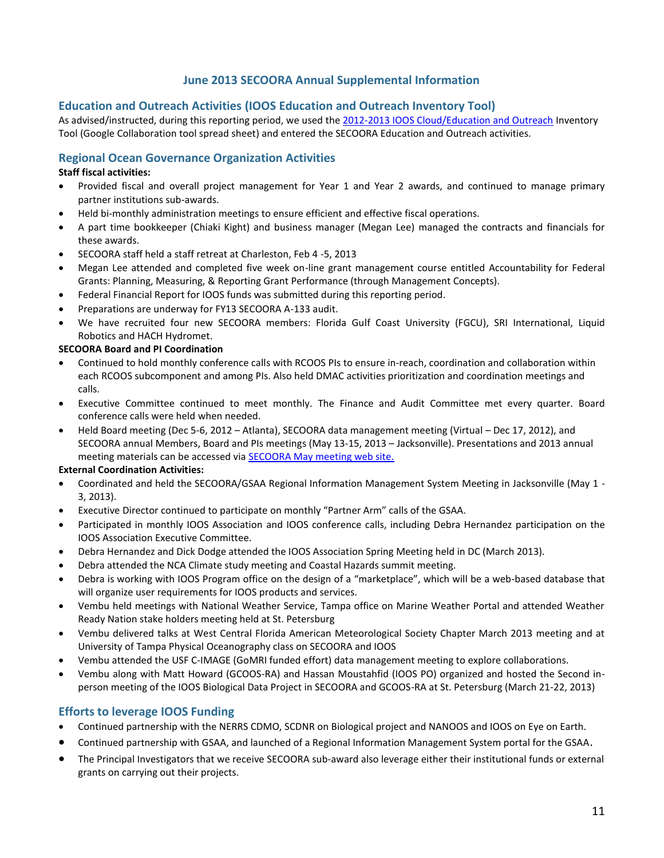## **June 2013 SECOORA Annual Supplemental Information**

## **Education and Outreach Activities (IOOS Education and Outreach Inventory Tool)**

As advised/instructed, during this reporting period, we used the [2012-2013 IOOS Cloud/Education and Outreach](https://sites.google.com/a/noaa.gov/iooscloud/education-outreach) Inventory Tool (Google Collaboration tool spread sheet) and entered the SECOORA Education and Outreach activities.

## **Regional Ocean Governance Organization Activities**

### **Staff fiscal activities:**

- Provided fiscal and overall project management for Year 1 and Year 2 awards, and continued to manage primary partner institutions sub-awards.
- Held bi-monthly administration meetings to ensure efficient and effective fiscal operations.
- A part time bookkeeper (Chiaki Kight) and business manager (Megan Lee) managed the contracts and financials for these awards.
- SECOORA staff held a staff retreat at Charleston, Feb 4 -5, 2013
- Megan Lee attended and completed five week on-line grant management course entitled Accountability for Federal Grants: Planning, Measuring, & Reporting Grant Performance (through Management Concepts).
- Federal Financial Report for IOOS funds was submitted during this reporting period.
- Preparations are underway for FY13 SECOORA A-133 audit.
- We have recruited four new SECOORA members: Florida Gulf Coast University (FGCU), SRI International, Liquid Robotics and HACH Hydromet.

### **SECOORA Board and PI Coordination**

- Continued to hold monthly conference calls with RCOOS PIs to ensure in-reach, coordination and collaboration within each RCOOS subcomponent and among PIs. Also held DMAC activities prioritization and coordination meetings and calls.
- Executive Committee continued to meet monthly. The Finance and Audit Committee met every quarter. Board conference calls were held when needed.
- Held Board meeting (Dec 5-6, 2012 Atlanta), SECOORA data management meeting (Virtual Dec 17, 2012), and SECOORA annual Members, Board and PIs meetings (May 13-15, 2013 – Jacksonville). Presentations and 2013 annual meeting materials can be accessed via [SECOORA May meeting web site.](http://secoora.org/node/387)

#### **External Coordination Activities:**

- Coordinated and held the SECOORA/GSAA Regional Information Management System Meeting in Jacksonville (May 1 3, 2013).
- Executive Director continued to participate on monthly "Partner Arm" calls of the GSAA.
- Participated in monthly IOOS Association and IOOS conference calls, including Debra Hernandez participation on the IOOS Association Executive Committee.
- Debra Hernandez and Dick Dodge attended the IOOS Association Spring Meeting held in DC (March 2013).
- Debra attended the NCA Climate study meeting and Coastal Hazards summit meeting.
- Debra is working with IOOS Program office on the design of a "marketplace", which will be a web-based database that will organize user requirements for IOOS products and services.
- Vembu held meetings with National Weather Service, Tampa office on Marine Weather Portal and attended Weather Ready Nation stake holders meeting held at St. Petersburg
- Vembu delivered talks at West Central Florida American Meteorological Society Chapter March 2013 meeting and at University of Tampa Physical Oceanography class on SECOORA and IOOS
- Vembu attended the USF C-IMAGE (GoMRI funded effort) data management meeting to explore collaborations.
- Vembu along with Matt Howard (GCOOS-RA) and Hassan Moustahfid (IOOS PO) organized and hosted the Second inperson meeting of the IOOS Biological Data Project in SECOORA and GCOOS-RA at St. Petersburg (March 21-22, 2013)

## **Efforts to leverage IOOS Funding**

- Continued partnership with the NERRS CDMO, SCDNR on Biological project and NANOOS and IOOS on Eye on Earth.
- Continued partnership with GSAA, and launched of a Regional Information Management System portal for the GSAA.
- The Principal Investigators that we receive SECOORA sub-award also leverage either their institutional funds or external grants on carrying out their projects.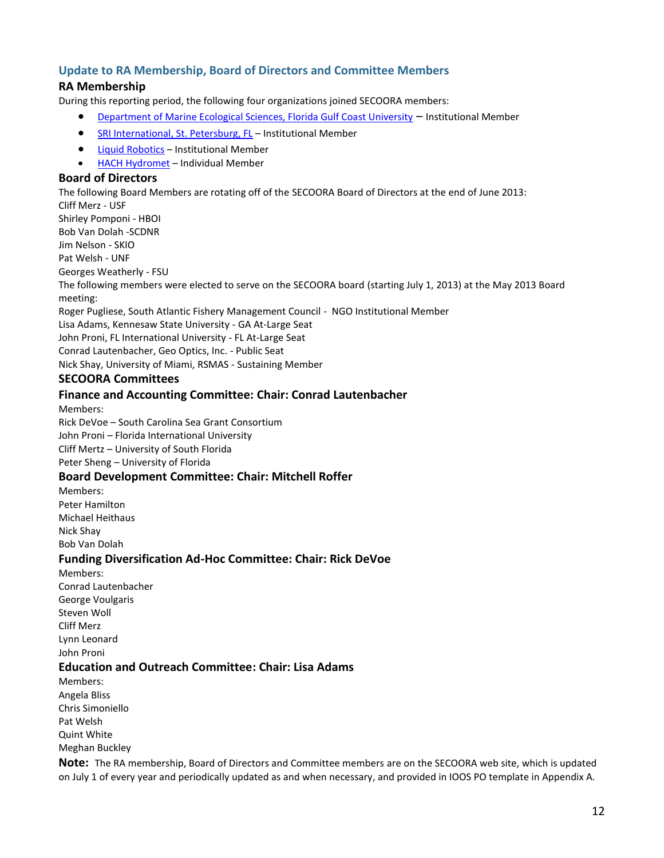# **Update to RA Membership, Board of Directors and Committee Members**

## **RA Membership**

During this reporting period, the following four organizations joined SECOORA members:

- [Department of Marine Ecological Sciences, Florida Gulf Coast University](http://www.fgcu.edu/CAS/Departments/MES/index.html) Institutional Member
- **[SRI International, St. Petersburg, FL](http://www.sri.com/research-development/marine-science-technology)** Institutional Member
- **•** [Liquid Robotics](http://liquidr.com/) Institutional Member
- [HACH Hydromet](http://www.hachhydromet.com/web/ott_hach.nsf/id/pa_home_e.html) Individual Member

### **Board of Directors**

The following Board Members are rotating off of the SECOORA Board of Directors at the end of June 2013:

Cliff Merz - USF Shirley Pomponi - HBOI Bob Van Dolah -SCDNR Jim Nelson - SKIO

Pat Welsh - UNF

Georges Weatherly - FSU

The following members were elected to serve on the SECOORA board (starting July 1, 2013) at the May 2013 Board meeting:

Roger Pugliese, South Atlantic Fishery Management Council - NGO Institutional Member

Lisa Adams, Kennesaw State University - GA At-Large Seat

John Proni, FL International University - FL At-Large Seat

Conrad Lautenbacher, Geo Optics, Inc. - Public Seat

Nick Shay, University of Miami, RSMAS - Sustaining Member

## **SECOORA Committees**

### **Finance and Accounting Committee: Chair: Conrad Lautenbacher**

Members:

Rick DeVoe – South Carolina Sea Grant Consortium

John Proni – Florida International University

Cliff Mertz – University of South Florida

Peter Sheng – University of Florida

## **Board Development Committee: Chair: Mitchell Roffer**

Members: Peter Hamilton Michael Heithaus Nick Shay Bob Van Dolah

## **Funding Diversification Ad-Hoc Committee: Chair: Rick DeVoe**

Members: Conrad Lautenbacher George Voulgaris Steven Woll Cliff Merz Lynn Leonard John Proni

## **Education and Outreach Committee: Chair: Lisa Adams**

Members: Angela Bliss Chris Simoniello Pat Welsh Quint White Meghan Buckley

**Note:** The RA membership, Board of Directors and Committee members are on the SECOORA web site, which is updated on July 1 of every year and periodically updated as and when necessary, and provided in IOOS PO template in Appendix A.